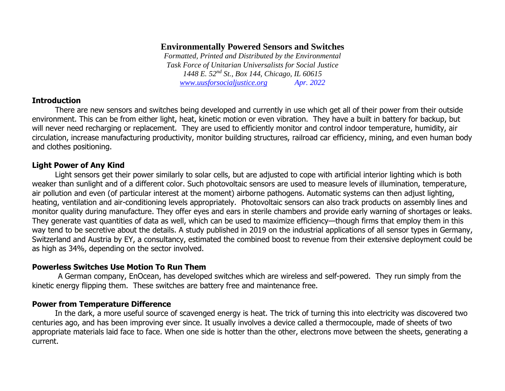# **Environmentally Powered Sensors and Switches**

*Formatted, Printed and Distributed by the Environmental Task Force of Unitarian Universalists for Social Justice 1448 E. 52nd St., Box 144, Chicago, IL 60615 [www.uusforsocialjustice.org](http://www.uusforsocialjustice.org/) Apr. 2022*

### **Introduction**

There are new sensors and switches being developed and currently in use which get all of their power from their outside environment. This can be from either light, heat, kinetic motion or even vibration. They have a built in battery for backup, but will never need recharging or replacement. They are used to efficiently monitor and control indoor temperature, humidity, air circulation, increase manufacturing productivity, monitor building structures, railroad car efficiency, mining, and even human body and clothes positioning.

## **Light Power of Any Kind**

Light sensors get their power similarly to solar cells, but are adjusted to cope with artificial interior lighting which is both weaker than sunlight and of a different color. Such photovoltaic sensors are used to measure levels of illumination, temperature, air pollution and even (of particular interest at the moment) airborne pathogens. Automatic systems can then adjust lighting, heating, ventilation and air-conditioning levels appropriately. Photovoltaic sensors can also track products on assembly lines and monitor quality during manufacture. They offer eyes and ears in sterile chambers and provide early warning of shortages or leaks. They generate vast quantities of data as well, which can be used to maximize efficiency—though firms that employ them in this way tend to be secretive about the details. A study published in 2019 on the industrial applications of all sensor types in Germany, Switzerland and Austria by EY, a consultancy, estimated the combined boost to revenue from their extensive deployment could be as high as 34%, depending on the sector involved.

### **Powerless Switches Use Motion To Run Them**

A German company, EnOcean, has developed switches which are wireless and self-powered. They run simply from the kinetic energy flipping them. These switches are battery free and maintenance free.

### **Power from Temperature Difference**

In the dark, a more useful source of scavenged energy is heat. The trick of turning this into electricity was discovered two centuries ago, and has been improving ever since. It usually involves a device called a thermocouple, made of sheets of two appropriate materials laid face to face. When one side is hotter than the other, electrons move between the sheets, generating a current.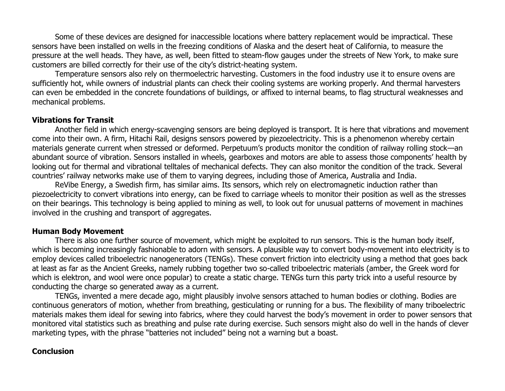Some of these devices are designed for inaccessible locations where battery replacement would be impractical. These sensors have been installed on wells in the freezing conditions of Alaska and the desert heat of California, to measure the pressure at the well heads. They have, as well, been fitted to steam-flow gauges under the streets of New York, to make sure customers are billed correctly for their use of the city's district-heating system.

Temperature sensors also rely on thermoelectric harvesting. Customers in the food industry use it to ensure ovens are sufficiently hot, while owners of industrial plants can check their cooling systems are working properly. And thermal harvesters can even be embedded in the concrete foundations of buildings, or affixed to internal beams, to flag structural weaknesses and mechanical problems.

#### **Vibrations for Transit**

Another field in which energy-scavenging sensors are being deployed is transport. It is here that vibrations and movement come into their own. A firm, Hitachi Rail, designs sensors powered by piezoelectricity. This is a phenomenon whereby certain materials generate current when stressed or deformed. Perpetuum's products monitor the condition of railway rolling stock—an abundant source of vibration. Sensors installed in wheels, gearboxes and motors are able to assess those components' health by looking out for thermal and vibrational telltales of mechanical defects. They can also monitor the condition of the track. Several countries' railway networks make use of them to varying degrees, including those of America, Australia and India.

ReVibe Energy, a Swedish firm, has similar aims. Its sensors, which rely on electromagnetic induction rather than piezoelectricity to convert vibrations into energy, can be fixed to carriage wheels to monitor their position as well as the stresses on their bearings. This technology is being applied to mining as well, to look out for unusual patterns of movement in machines involved in the crushing and transport of aggregates.

### **Human Body Movement**

There is also one further source of movement, which might be exploited to run sensors. This is the human body itself, which is becoming increasingly fashionable to adorn with sensors. A plausible way to convert body-movement into electricity is to employ devices called triboelectric nanogenerators (TENGs). These convert friction into electricity using a method that goes back at least as far as the Ancient Greeks, namely rubbing together two so-called triboelectric materials (amber, the Greek word for which is elektron, and wool were once popular) to create a static charge. TENGs turn this party trick into a useful resource by conducting the charge so generated away as a current.

TENGs, invented a mere decade ago, might plausibly involve sensors attached to human bodies or clothing. Bodies are continuous generators of motion, whether from breathing, gesticulating or running for a bus. The flexibility of many triboelectric materials makes them ideal for sewing into fabrics, where they could harvest the body's movement in order to power sensors that monitored vital statistics such as breathing and pulse rate during exercise. Such sensors might also do well in the hands of clever marketing types, with the phrase "batteries not included" being not a warning but a boast.

### **Conclusion**